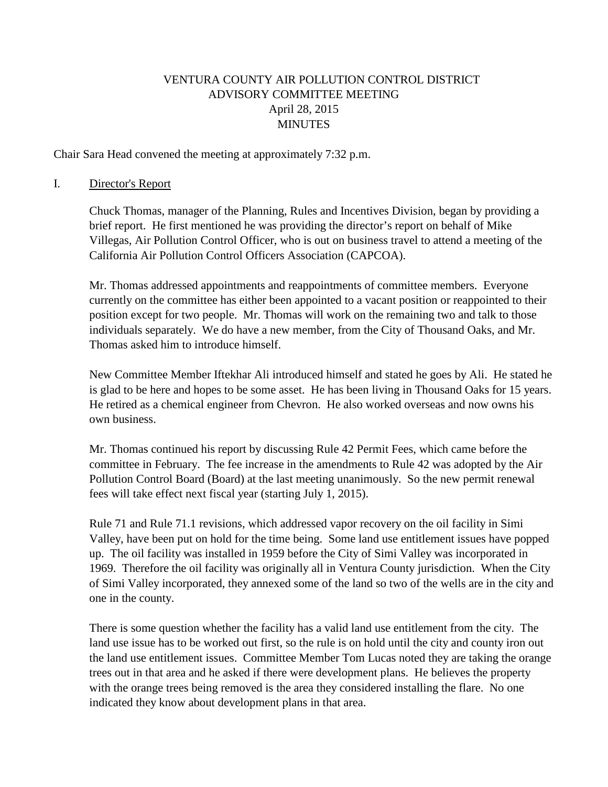## VENTURA COUNTY AIR POLLUTION CONTROL DISTRICT ADVISORY COMMITTEE MEETING April 28, 2015 **MINUTES**

Chair Sara Head convened the meeting at approximately 7:32 p.m.

#### I. Director's Report

Chuck Thomas, manager of the Planning, Rules and Incentives Division, began by providing a brief report. He first mentioned he was providing the director's report on behalf of Mike Villegas, Air Pollution Control Officer, who is out on business travel to attend a meeting of the California Air Pollution Control Officers Association (CAPCOA).

Mr. Thomas addressed appointments and reappointments of committee members. Everyone currently on the committee has either been appointed to a vacant position or reappointed to their position except for two people. Mr. Thomas will work on the remaining two and talk to those individuals separately. We do have a new member, from the City of Thousand Oaks, and Mr. Thomas asked him to introduce himself.

New Committee Member Iftekhar Ali introduced himself and stated he goes by Ali. He stated he is glad to be here and hopes to be some asset. He has been living in Thousand Oaks for 15 years. He retired as a chemical engineer from Chevron. He also worked overseas and now owns his own business.

Mr. Thomas continued his report by discussing Rule 42 Permit Fees, which came before the committee in February. The fee increase in the amendments to Rule 42 was adopted by the Air Pollution Control Board (Board) at the last meeting unanimously. So the new permit renewal fees will take effect next fiscal year (starting July 1, 2015).

Rule 71 and Rule 71.1 revisions, which addressed vapor recovery on the oil facility in Simi Valley, have been put on hold for the time being. Some land use entitlement issues have popped up. The oil facility was installed in 1959 before the City of Simi Valley was incorporated in 1969. Therefore the oil facility was originally all in Ventura County jurisdiction. When the City of Simi Valley incorporated, they annexed some of the land so two of the wells are in the city and one in the county.

There is some question whether the facility has a valid land use entitlement from the city. The land use issue has to be worked out first, so the rule is on hold until the city and county iron out the land use entitlement issues. Committee Member Tom Lucas noted they are taking the orange trees out in that area and he asked if there were development plans. He believes the property with the orange trees being removed is the area they considered installing the flare. No one indicated they know about development plans in that area.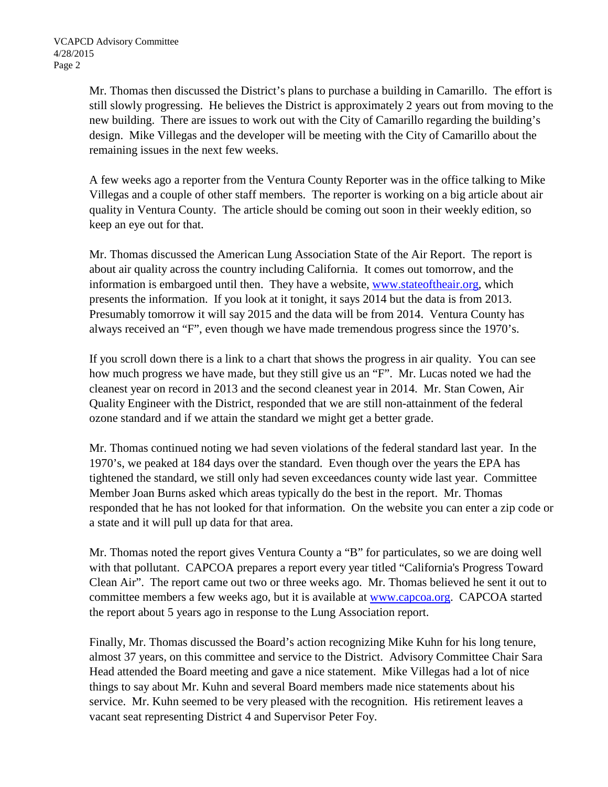Mr. Thomas then discussed the District's plans to purchase a building in Camarillo. The effort is still slowly progressing. He believes the District is approximately 2 years out from moving to the new building. There are issues to work out with the City of Camarillo regarding the building's design. Mike Villegas and the developer will be meeting with the City of Camarillo about the remaining issues in the next few weeks.

A few weeks ago a reporter from the Ventura County Reporter was in the office talking to Mike Villegas and a couple of other staff members. The reporter is working on a big article about air quality in Ventura County. The article should be coming out soon in their weekly edition, so keep an eye out for that.

Mr. Thomas discussed the American Lung Association State of the Air Report. The report is about air quality across the country including California. It comes out tomorrow, and the information is embargoed until then. They have a website, [www.stateoftheair.org,](http://www.stateoftheair.org/) which presents the information. If you look at it tonight, it says 2014 but the data is from 2013. Presumably tomorrow it will say 2015 and the data will be from 2014. Ventura County has always received an "F", even though we have made tremendous progress since the 1970's.

If you scroll down there is a link to a chart that shows the progress in air quality. You can see how much progress we have made, but they still give us an "F". Mr. Lucas noted we had the cleanest year on record in 2013 and the second cleanest year in 2014. Mr. Stan Cowen, Air Quality Engineer with the District, responded that we are still non-attainment of the federal ozone standard and if we attain the standard we might get a better grade.

Mr. Thomas continued noting we had seven violations of the federal standard last year. In the 1970's, we peaked at 184 days over the standard. Even though over the years the EPA has tightened the standard, we still only had seven exceedances county wide last year. Committee Member Joan Burns asked which areas typically do the best in the report. Mr. Thomas responded that he has not looked for that information. On the website you can enter a zip code or a state and it will pull up data for that area.

Mr. Thomas noted the report gives Ventura County a "B" for particulates, so we are doing well with that pollutant. CAPCOA prepares a report every year titled "California's Progress Toward Clean Air". The report came out two or three weeks ago. Mr. Thomas believed he sent it out to committee members a few weeks ago, but it is available at [www.capcoa.org.](http://www.capcoa.org/) CAPCOA started the report about 5 years ago in response to the Lung Association report.

Finally, Mr. Thomas discussed the Board's action recognizing Mike Kuhn for his long tenure, almost 37 years, on this committee and service to the District. Advisory Committee Chair Sara Head attended the Board meeting and gave a nice statement. Mike Villegas had a lot of nice things to say about Mr. Kuhn and several Board members made nice statements about his service. Mr. Kuhn seemed to be very pleased with the recognition. His retirement leaves a vacant seat representing District 4 and Supervisor Peter Foy.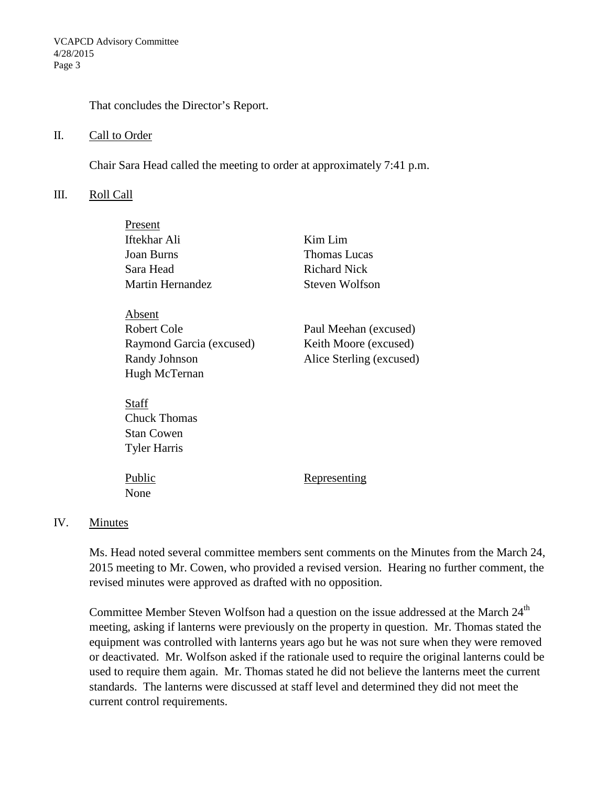That concludes the Director's Report.

#### II. Call to Order

Chair Sara Head called the meeting to order at approximately 7:41 p.m.

#### III. Roll Call

Present

| <b>FIESEII</b>           |                          |
|--------------------------|--------------------------|
| Iftekhar Ali             | Kim Lim                  |
| <b>Joan Burns</b>        | Thomas Lucas             |
| Sara Head                | <b>Richard Nick</b>      |
| <b>Martin Hernandez</b>  | Steven Wolfson           |
|                          |                          |
| Absent                   |                          |
| Robert Cole              | Paul Meehan (excused)    |
| Raymond Garcia (excused) | Keith Moore (excused)    |
| Randy Johnson            | Alice Sterling (excused) |
| Hugh McTernan            |                          |
|                          |                          |
| Staff                    |                          |
| <b>Chuck Thomas</b>      |                          |
| <b>Stan Cowen</b>        |                          |
| <b>Tyler Harris</b>      |                          |
|                          |                          |
| Public                   | Representing             |
| None                     |                          |
|                          |                          |

### IV. Minutes

Ms. Head noted several committee members sent comments on the Minutes from the March 24, 2015 meeting to Mr. Cowen, who provided a revised version. Hearing no further comment, the revised minutes were approved as drafted with no opposition.

Committee Member Steven Wolfson had a question on the issue addressed at the March 24<sup>th</sup> meeting, asking if lanterns were previously on the property in question. Mr. Thomas stated the equipment was controlled with lanterns years ago but he was not sure when they were removed or deactivated. Mr. Wolfson asked if the rationale used to require the original lanterns could be used to require them again. Mr. Thomas stated he did not believe the lanterns meet the current standards. The lanterns were discussed at staff level and determined they did not meet the current control requirements.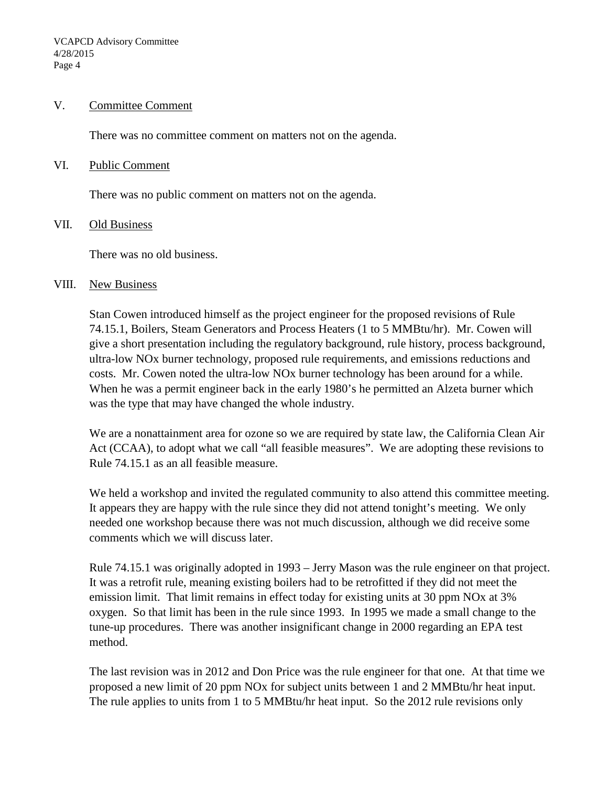#### V. Committee Comment

There was no committee comment on matters not on the agenda.

#### VI. Public Comment

There was no public comment on matters not on the agenda.

#### VII. Old Business

There was no old business.

#### VIII. New Business

Stan Cowen introduced himself as the project engineer for the proposed revisions of Rule 74.15.1, Boilers, Steam Generators and Process Heaters (1 to 5 MMBtu/hr). Mr. Cowen will give a short presentation including the regulatory background, rule history, process background, ultra-low NOx burner technology, proposed rule requirements, and emissions reductions and costs. Mr. Cowen noted the ultra-low NOx burner technology has been around for a while. When he was a permit engineer back in the early 1980's he permitted an Alzeta burner which was the type that may have changed the whole industry.

We are a nonattainment area for ozone so we are required by state law, the California Clean Air Act (CCAA), to adopt what we call "all feasible measures". We are adopting these revisions to Rule 74.15.1 as an all feasible measure.

We held a workshop and invited the regulated community to also attend this committee meeting. It appears they are happy with the rule since they did not attend tonight's meeting. We only needed one workshop because there was not much discussion, although we did receive some comments which we will discuss later.

Rule 74.15.1 was originally adopted in 1993 – Jerry Mason was the rule engineer on that project. It was a retrofit rule, meaning existing boilers had to be retrofitted if they did not meet the emission limit. That limit remains in effect today for existing units at 30 ppm NOx at 3% oxygen. So that limit has been in the rule since 1993. In 1995 we made a small change to the tune-up procedures. There was another insignificant change in 2000 regarding an EPA test method.

The last revision was in 2012 and Don Price was the rule engineer for that one. At that time we proposed a new limit of 20 ppm NOx for subject units between 1 and 2 MMBtu/hr heat input. The rule applies to units from 1 to 5 MMBtu/hr heat input. So the 2012 rule revisions only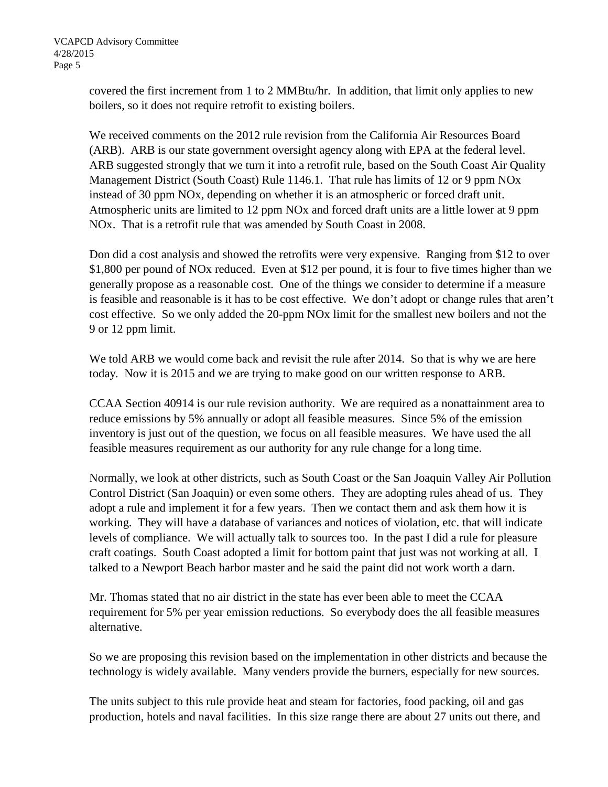covered the first increment from 1 to 2 MMBtu/hr. In addition, that limit only applies to new boilers, so it does not require retrofit to existing boilers.

We received comments on the 2012 rule revision from the California Air Resources Board (ARB). ARB is our state government oversight agency along with EPA at the federal level. ARB suggested strongly that we turn it into a retrofit rule, based on the South Coast Air Quality Management District (South Coast) Rule 1146.1. That rule has limits of 12 or 9 ppm NOx instead of 30 ppm NOx, depending on whether it is an atmospheric or forced draft unit. Atmospheric units are limited to 12 ppm NOx and forced draft units are a little lower at 9 ppm NOx. That is a retrofit rule that was amended by South Coast in 2008.

Don did a cost analysis and showed the retrofits were very expensive. Ranging from \$12 to over \$1,800 per pound of NOx reduced. Even at \$12 per pound, it is four to five times higher than we generally propose as a reasonable cost. One of the things we consider to determine if a measure is feasible and reasonable is it has to be cost effective. We don't adopt or change rules that aren't cost effective. So we only added the 20-ppm NOx limit for the smallest new boilers and not the 9 or 12 ppm limit.

We told ARB we would come back and revisit the rule after 2014. So that is why we are here today. Now it is 2015 and we are trying to make good on our written response to ARB.

CCAA Section 40914 is our rule revision authority. We are required as a nonattainment area to reduce emissions by 5% annually or adopt all feasible measures. Since 5% of the emission inventory is just out of the question, we focus on all feasible measures. We have used the all feasible measures requirement as our authority for any rule change for a long time.

Normally, we look at other districts, such as South Coast or the San Joaquin Valley Air Pollution Control District (San Joaquin) or even some others. They are adopting rules ahead of us. They adopt a rule and implement it for a few years. Then we contact them and ask them how it is working. They will have a database of variances and notices of violation, etc. that will indicate levels of compliance. We will actually talk to sources too. In the past I did a rule for pleasure craft coatings. South Coast adopted a limit for bottom paint that just was not working at all. I talked to a Newport Beach harbor master and he said the paint did not work worth a darn.

Mr. Thomas stated that no air district in the state has ever been able to meet the CCAA requirement for 5% per year emission reductions. So everybody does the all feasible measures alternative.

So we are proposing this revision based on the implementation in other districts and because the technology is widely available. Many venders provide the burners, especially for new sources.

The units subject to this rule provide heat and steam for factories, food packing, oil and gas production, hotels and naval facilities. In this size range there are about 27 units out there, and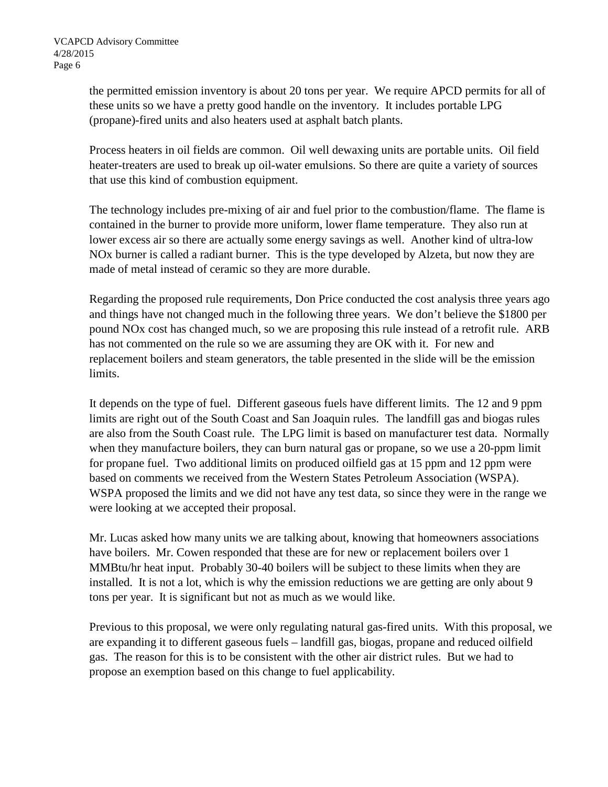the permitted emission inventory is about 20 tons per year. We require APCD permits for all of these units so we have a pretty good handle on the inventory. It includes portable LPG (propane)-fired units and also heaters used at asphalt batch plants.

Process heaters in oil fields are common. Oil well dewaxing units are portable units. Oil field heater-treaters are used to break up oil-water emulsions. So there are quite a variety of sources that use this kind of combustion equipment.

The technology includes pre-mixing of air and fuel prior to the combustion/flame. The flame is contained in the burner to provide more uniform, lower flame temperature. They also run at lower excess air so there are actually some energy savings as well. Another kind of ultra-low NOx burner is called a radiant burner. This is the type developed by Alzeta, but now they are made of metal instead of ceramic so they are more durable.

Regarding the proposed rule requirements, Don Price conducted the cost analysis three years ago and things have not changed much in the following three years. We don't believe the \$1800 per pound NOx cost has changed much, so we are proposing this rule instead of a retrofit rule. ARB has not commented on the rule so we are assuming they are OK with it. For new and replacement boilers and steam generators, the table presented in the slide will be the emission limits.

It depends on the type of fuel. Different gaseous fuels have different limits. The 12 and 9 ppm limits are right out of the South Coast and San Joaquin rules. The landfill gas and biogas rules are also from the South Coast rule. The LPG limit is based on manufacturer test data. Normally when they manufacture boilers, they can burn natural gas or propane, so we use a 20-ppm limit for propane fuel. Two additional limits on produced oilfield gas at 15 ppm and 12 ppm were based on comments we received from the Western States Petroleum Association (WSPA). WSPA proposed the limits and we did not have any test data, so since they were in the range we were looking at we accepted their proposal.

Mr. Lucas asked how many units we are talking about, knowing that homeowners associations have boilers. Mr. Cowen responded that these are for new or replacement boilers over 1 MMBtu/hr heat input. Probably 30-40 boilers will be subject to these limits when they are installed. It is not a lot, which is why the emission reductions we are getting are only about 9 tons per year. It is significant but not as much as we would like.

Previous to this proposal, we were only regulating natural gas-fired units. With this proposal, we are expanding it to different gaseous fuels – landfill gas, biogas, propane and reduced oilfield gas. The reason for this is to be consistent with the other air district rules. But we had to propose an exemption based on this change to fuel applicability.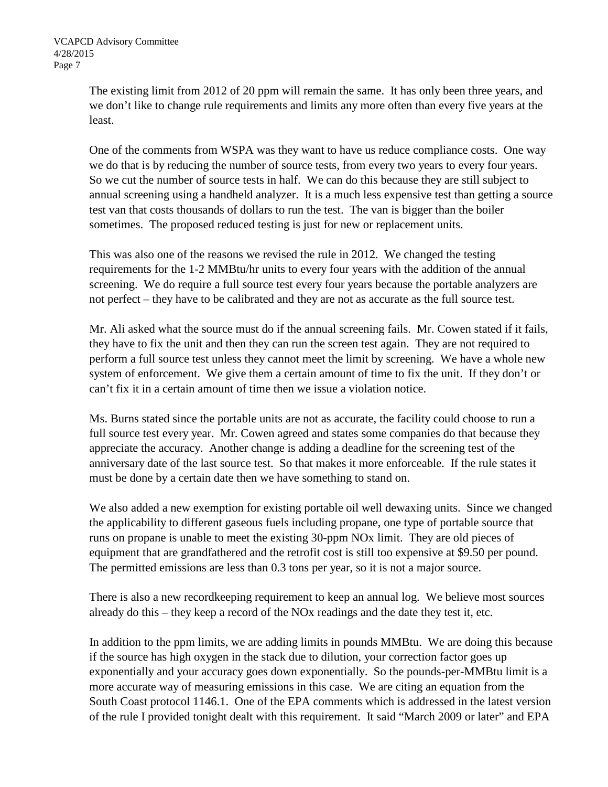The existing limit from 2012 of 20 ppm will remain the same. It has only been three years, and we don't like to change rule requirements and limits any more often than every five years at the least.

One of the comments from WSPA was they want to have us reduce compliance costs. One way we do that is by reducing the number of source tests, from every two years to every four years. So we cut the number of source tests in half. We can do this because they are still subject to annual screening using a handheld analyzer. It is a much less expensive test than getting a source test van that costs thousands of dollars to run the test. The van is bigger than the boiler sometimes. The proposed reduced testing is just for new or replacement units.

This was also one of the reasons we revised the rule in 2012. We changed the testing requirements for the 1-2 MMBtu/hr units to every four years with the addition of the annual screening. We do require a full source test every four years because the portable analyzers are not perfect – they have to be calibrated and they are not as accurate as the full source test.

Mr. Ali asked what the source must do if the annual screening fails. Mr. Cowen stated if it fails, they have to fix the unit and then they can run the screen test again. They are not required to perform a full source test unless they cannot meet the limit by screening. We have a whole new system of enforcement. We give them a certain amount of time to fix the unit. If they don't or can't fix it in a certain amount of time then we issue a violation notice.

Ms. Burns stated since the portable units are not as accurate, the facility could choose to run a full source test every year. Mr. Cowen agreed and states some companies do that because they appreciate the accuracy. Another change is adding a deadline for the screening test of the anniversary date of the last source test. So that makes it more enforceable. If the rule states it must be done by a certain date then we have something to stand on.

We also added a new exemption for existing portable oil well dewaxing units. Since we changed the applicability to different gaseous fuels including propane, one type of portable source that runs on propane is unable to meet the existing 30-ppm NOx limit. They are old pieces of equipment that are grandfathered and the retrofit cost is still too expensive at \$9.50 per pound. The permitted emissions are less than 0.3 tons per year, so it is not a major source.

There is also a new recordkeeping requirement to keep an annual log. We believe most sources already do this – they keep a record of the NOx readings and the date they test it, etc.

In addition to the ppm limits, we are adding limits in pounds MMBtu. We are doing this because if the source has high oxygen in the stack due to dilution, your correction factor goes up exponentially and your accuracy goes down exponentially. So the pounds-per-MMBtu limit is a more accurate way of measuring emissions in this case. We are citing an equation from the South Coast protocol 1146.1. One of the EPA comments which is addressed in the latest version of the rule I provided tonight dealt with this requirement. It said "March 2009 or later" and EPA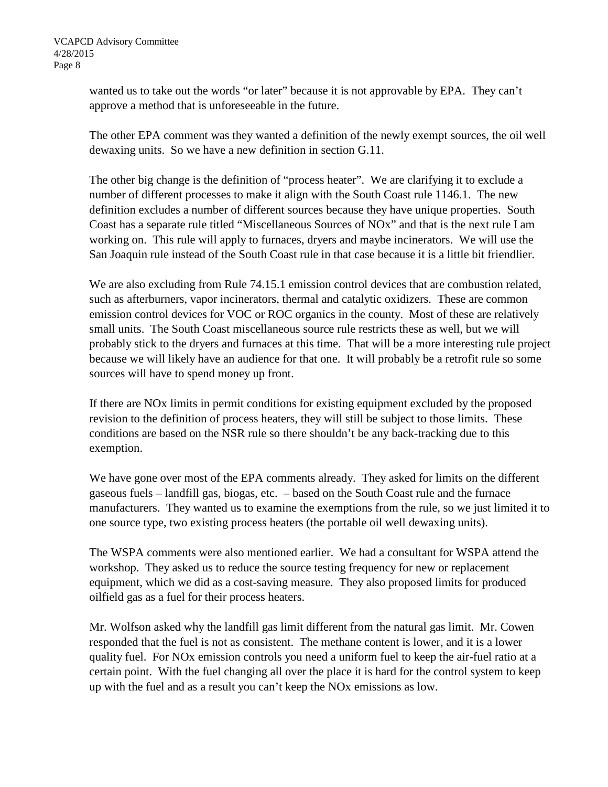wanted us to take out the words "or later" because it is not approvable by EPA. They can't approve a method that is unforeseeable in the future.

The other EPA comment was they wanted a definition of the newly exempt sources, the oil well dewaxing units. So we have a new definition in section G.11.

The other big change is the definition of "process heater". We are clarifying it to exclude a number of different processes to make it align with the South Coast rule 1146.1. The new definition excludes a number of different sources because they have unique properties. South Coast has a separate rule titled "Miscellaneous Sources of NOx" and that is the next rule I am working on. This rule will apply to furnaces, dryers and maybe incinerators. We will use the San Joaquin rule instead of the South Coast rule in that case because it is a little bit friendlier.

We are also excluding from Rule 74.15.1 emission control devices that are combustion related, such as afterburners, vapor incinerators, thermal and catalytic oxidizers. These are common emission control devices for VOC or ROC organics in the county. Most of these are relatively small units. The South Coast miscellaneous source rule restricts these as well, but we will probably stick to the dryers and furnaces at this time. That will be a more interesting rule project because we will likely have an audience for that one. It will probably be a retrofit rule so some sources will have to spend money up front.

If there are NOx limits in permit conditions for existing equipment excluded by the proposed revision to the definition of process heaters, they will still be subject to those limits. These conditions are based on the NSR rule so there shouldn't be any back-tracking due to this exemption.

We have gone over most of the EPA comments already. They asked for limits on the different gaseous fuels – landfill gas, biogas, etc. – based on the South Coast rule and the furnace manufacturers. They wanted us to examine the exemptions from the rule, so we just limited it to one source type, two existing process heaters (the portable oil well dewaxing units).

The WSPA comments were also mentioned earlier. We had a consultant for WSPA attend the workshop. They asked us to reduce the source testing frequency for new or replacement equipment, which we did as a cost-saving measure. They also proposed limits for produced oilfield gas as a fuel for their process heaters.

Mr. Wolfson asked why the landfill gas limit different from the natural gas limit. Mr. Cowen responded that the fuel is not as consistent. The methane content is lower, and it is a lower quality fuel. For NOx emission controls you need a uniform fuel to keep the air-fuel ratio at a certain point. With the fuel changing all over the place it is hard for the control system to keep up with the fuel and as a result you can't keep the NOx emissions as low.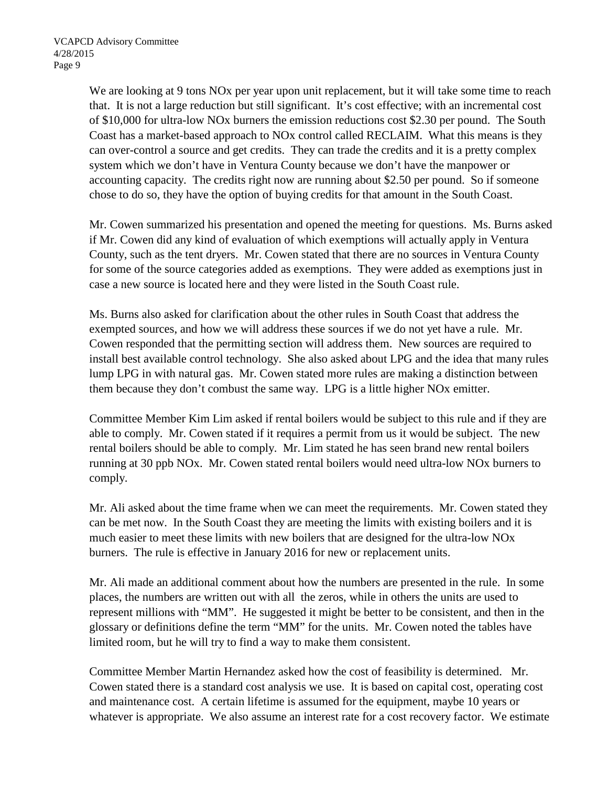We are looking at 9 tons NO<sub>x</sub> per year upon unit replacement, but it will take some time to reach that. It is not a large reduction but still significant. It's cost effective; with an incremental cost of \$10,000 for ultra-low NOx burners the emission reductions cost \$2.30 per pound. The South Coast has a market-based approach to NOx control called RECLAIM. What this means is they can over-control a source and get credits. They can trade the credits and it is a pretty complex system which we don't have in Ventura County because we don't have the manpower or accounting capacity. The credits right now are running about \$2.50 per pound. So if someone chose to do so, they have the option of buying credits for that amount in the South Coast.

Mr. Cowen summarized his presentation and opened the meeting for questions. Ms. Burns asked if Mr. Cowen did any kind of evaluation of which exemptions will actually apply in Ventura County, such as the tent dryers. Mr. Cowen stated that there are no sources in Ventura County for some of the source categories added as exemptions. They were added as exemptions just in case a new source is located here and they were listed in the South Coast rule.

Ms. Burns also asked for clarification about the other rules in South Coast that address the exempted sources, and how we will address these sources if we do not yet have a rule. Mr. Cowen responded that the permitting section will address them. New sources are required to install best available control technology. She also asked about LPG and the idea that many rules lump LPG in with natural gas. Mr. Cowen stated more rules are making a distinction between them because they don't combust the same way. LPG is a little higher NOx emitter.

Committee Member Kim Lim asked if rental boilers would be subject to this rule and if they are able to comply. Mr. Cowen stated if it requires a permit from us it would be subject. The new rental boilers should be able to comply. Mr. Lim stated he has seen brand new rental boilers running at 30 ppb NOx. Mr. Cowen stated rental boilers would need ultra-low NOx burners to comply.

Mr. Ali asked about the time frame when we can meet the requirements. Mr. Cowen stated they can be met now. In the South Coast they are meeting the limits with existing boilers and it is much easier to meet these limits with new boilers that are designed for the ultra-low NOx burners. The rule is effective in January 2016 for new or replacement units.

Mr. Ali made an additional comment about how the numbers are presented in the rule. In some places, the numbers are written out with all the zeros, while in others the units are used to represent millions with "MM". He suggested it might be better to be consistent, and then in the glossary or definitions define the term "MM" for the units. Mr. Cowen noted the tables have limited room, but he will try to find a way to make them consistent.

Committee Member Martin Hernandez asked how the cost of feasibility is determined. Mr. Cowen stated there is a standard cost analysis we use. It is based on capital cost, operating cost and maintenance cost. A certain lifetime is assumed for the equipment, maybe 10 years or whatever is appropriate. We also assume an interest rate for a cost recovery factor. We estimate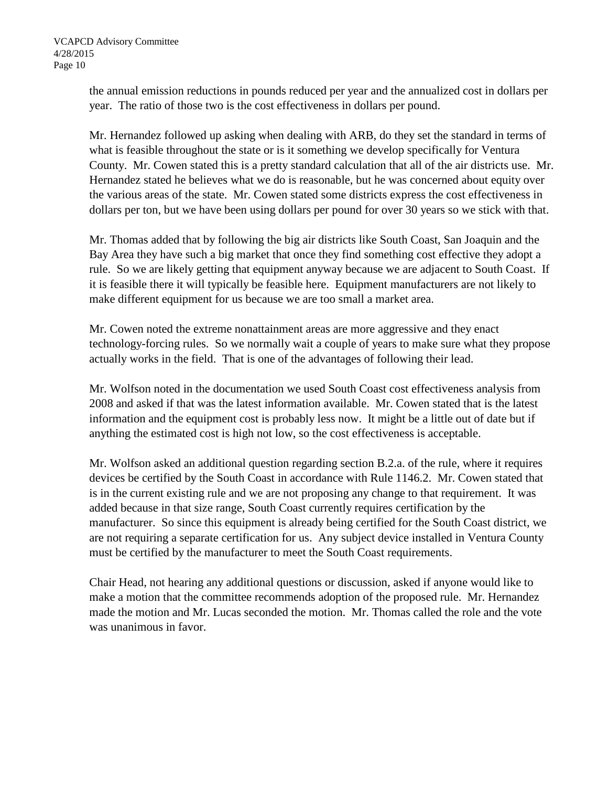the annual emission reductions in pounds reduced per year and the annualized cost in dollars per year. The ratio of those two is the cost effectiveness in dollars per pound.

Mr. Hernandez followed up asking when dealing with ARB, do they set the standard in terms of what is feasible throughout the state or is it something we develop specifically for Ventura County. Mr. Cowen stated this is a pretty standard calculation that all of the air districts use. Mr. Hernandez stated he believes what we do is reasonable, but he was concerned about equity over the various areas of the state. Mr. Cowen stated some districts express the cost effectiveness in dollars per ton, but we have been using dollars per pound for over 30 years so we stick with that.

Mr. Thomas added that by following the big air districts like South Coast, San Joaquin and the Bay Area they have such a big market that once they find something cost effective they adopt a rule. So we are likely getting that equipment anyway because we are adjacent to South Coast. If it is feasible there it will typically be feasible here. Equipment manufacturers are not likely to make different equipment for us because we are too small a market area.

Mr. Cowen noted the extreme nonattainment areas are more aggressive and they enact technology-forcing rules. So we normally wait a couple of years to make sure what they propose actually works in the field. That is one of the advantages of following their lead.

Mr. Wolfson noted in the documentation we used South Coast cost effectiveness analysis from 2008 and asked if that was the latest information available. Mr. Cowen stated that is the latest information and the equipment cost is probably less now. It might be a little out of date but if anything the estimated cost is high not low, so the cost effectiveness is acceptable.

Mr. Wolfson asked an additional question regarding section B.2.a. of the rule, where it requires devices be certified by the South Coast in accordance with Rule 1146.2. Mr. Cowen stated that is in the current existing rule and we are not proposing any change to that requirement. It was added because in that size range, South Coast currently requires certification by the manufacturer. So since this equipment is already being certified for the South Coast district, we are not requiring a separate certification for us. Any subject device installed in Ventura County must be certified by the manufacturer to meet the South Coast requirements.

Chair Head, not hearing any additional questions or discussion, asked if anyone would like to make a motion that the committee recommends adoption of the proposed rule. Mr. Hernandez made the motion and Mr. Lucas seconded the motion. Mr. Thomas called the role and the vote was unanimous in favor.